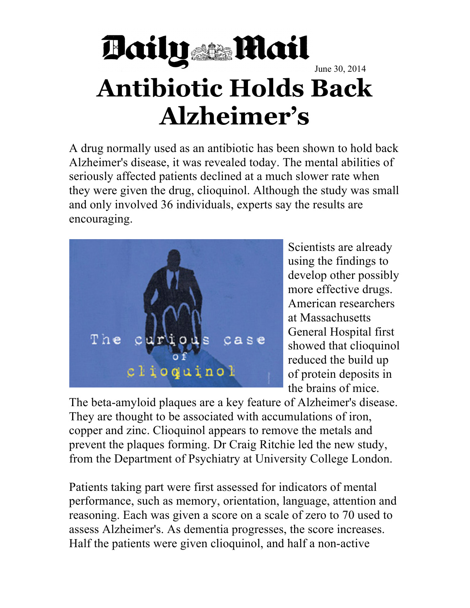## Baily **Mail** June 30, 2014 **Antibiotic Holds Back Alzheimer's**

A drug normally used as an antibiotic has been shown to hold back Alzheimer's disease, it was revealed today. The mental abilities of seriously affected patients declined at a much slower rate when they were given the drug, clioquinol. Although the study was small and only involved 36 individuals, experts say the results are encouraging.



Scientists are already using the findings to develop other possibly more effective drugs. American researchers at Massachusetts General Hospital first showed that clioquinol reduced the build up of protein deposits in the brains of mice.

The beta-amyloid plaques are a key feature of Alzheimer's disease. They are thought to be associated with accumulations of iron, copper and zinc. Clioquinol appears to remove the metals and prevent the plaques forming. Dr Craig Ritchie led the new study, from the Department of Psychiatry at University College London.

Patients taking part were first assessed for indicators of mental performance, such as memory, orientation, language, attention and reasoning. Each was given a score on a scale of zero to 70 used to assess Alzheimer's. As dementia progresses, the score increases. Half the patients were given clioquinol, and half a non-active